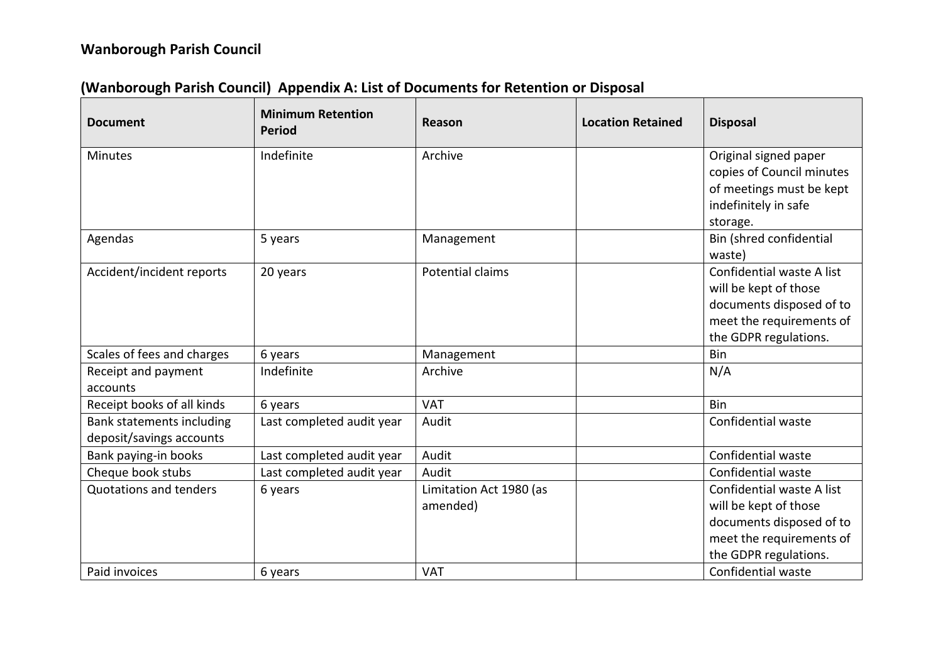## **Wanborough Parish Council**

| <b>Document</b>                                       | <b>Minimum Retention</b><br><b>Period</b> | Reason                              | <b>Location Retained</b> | <b>Disposal</b>                                                                                                                     |
|-------------------------------------------------------|-------------------------------------------|-------------------------------------|--------------------------|-------------------------------------------------------------------------------------------------------------------------------------|
| <b>Minutes</b>                                        | Indefinite                                | Archive                             |                          | Original signed paper<br>copies of Council minutes<br>of meetings must be kept<br>indefinitely in safe                              |
| Agendas                                               | 5 years                                   | Management                          |                          | storage.<br>Bin (shred confidential<br>waste)                                                                                       |
| Accident/incident reports                             | 20 years                                  | Potential claims                    |                          | Confidential waste A list<br>will be kept of those<br>documents disposed of to<br>meet the requirements of<br>the GDPR regulations. |
| Scales of fees and charges                            | 6 years                                   | Management                          |                          | Bin                                                                                                                                 |
| Receipt and payment<br>accounts                       | Indefinite                                | Archive                             |                          | N/A                                                                                                                                 |
| Receipt books of all kinds                            | 6 years                                   | <b>VAT</b>                          |                          | Bin                                                                                                                                 |
| Bank statements including<br>deposit/savings accounts | Last completed audit year                 | Audit                               |                          | Confidential waste                                                                                                                  |
| Bank paying-in books                                  | Last completed audit year                 | Audit                               |                          | Confidential waste                                                                                                                  |
| Cheque book stubs                                     | Last completed audit year                 | Audit                               |                          | Confidential waste                                                                                                                  |
| Quotations and tenders                                | 6 years                                   | Limitation Act 1980 (as<br>amended) |                          | Confidential waste A list<br>will be kept of those<br>documents disposed of to<br>meet the requirements of<br>the GDPR regulations. |
| Paid invoices                                         | 6 years                                   | <b>VAT</b>                          |                          | Confidential waste                                                                                                                  |

## **(Wanborough Parish Council) Appendix A: List of Documents for Retention or Disposal**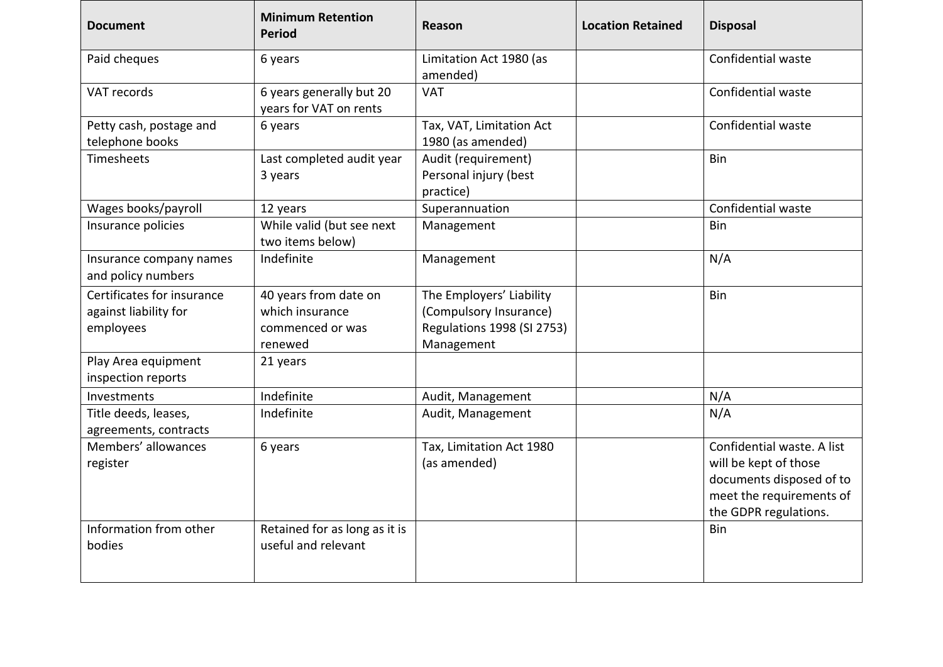| <b>Document</b>                                                  | <b>Minimum Retention</b><br><b>Period</b>                               | <b>Reason</b>                                                                                  | <b>Location Retained</b> | <b>Disposal</b>                                                                                                                      |
|------------------------------------------------------------------|-------------------------------------------------------------------------|------------------------------------------------------------------------------------------------|--------------------------|--------------------------------------------------------------------------------------------------------------------------------------|
| Paid cheques                                                     | 6 years                                                                 | Limitation Act 1980 (as<br>amended)                                                            |                          | Confidential waste                                                                                                                   |
| VAT records                                                      | 6 years generally but 20<br>years for VAT on rents                      | <b>VAT</b>                                                                                     |                          | Confidential waste                                                                                                                   |
| Petty cash, postage and<br>telephone books                       | 6 years                                                                 | Tax, VAT, Limitation Act<br>1980 (as amended)                                                  |                          | Confidential waste                                                                                                                   |
| Timesheets                                                       | Last completed audit year<br>3 years                                    | Audit (requirement)<br>Personal injury (best<br>practice)                                      |                          | Bin                                                                                                                                  |
| Wages books/payroll                                              | 12 years                                                                | Superannuation                                                                                 |                          | Confidential waste                                                                                                                   |
| Insurance policies                                               | While valid (but see next<br>two items below)                           | Management                                                                                     |                          | Bin                                                                                                                                  |
| Insurance company names<br>and policy numbers                    | Indefinite                                                              | Management                                                                                     |                          | N/A                                                                                                                                  |
| Certificates for insurance<br>against liability for<br>employees | 40 years from date on<br>which insurance<br>commenced or was<br>renewed | The Employers' Liability<br>(Compulsory Insurance)<br>Regulations 1998 (SI 2753)<br>Management |                          | Bin                                                                                                                                  |
| Play Area equipment<br>inspection reports                        | 21 years                                                                |                                                                                                |                          |                                                                                                                                      |
| Investments                                                      | Indefinite                                                              | Audit, Management                                                                              |                          | N/A                                                                                                                                  |
| Title deeds, leases,<br>agreements, contracts                    | Indefinite                                                              | Audit, Management                                                                              |                          | N/A                                                                                                                                  |
| Members' allowances<br>register                                  | 6 years                                                                 | Tax, Limitation Act 1980<br>(as amended)                                                       |                          | Confidential waste. A list<br>will be kept of those<br>documents disposed of to<br>meet the requirements of<br>the GDPR regulations. |
| Information from other<br>bodies                                 | Retained for as long as it is<br>useful and relevant                    |                                                                                                |                          | Bin                                                                                                                                  |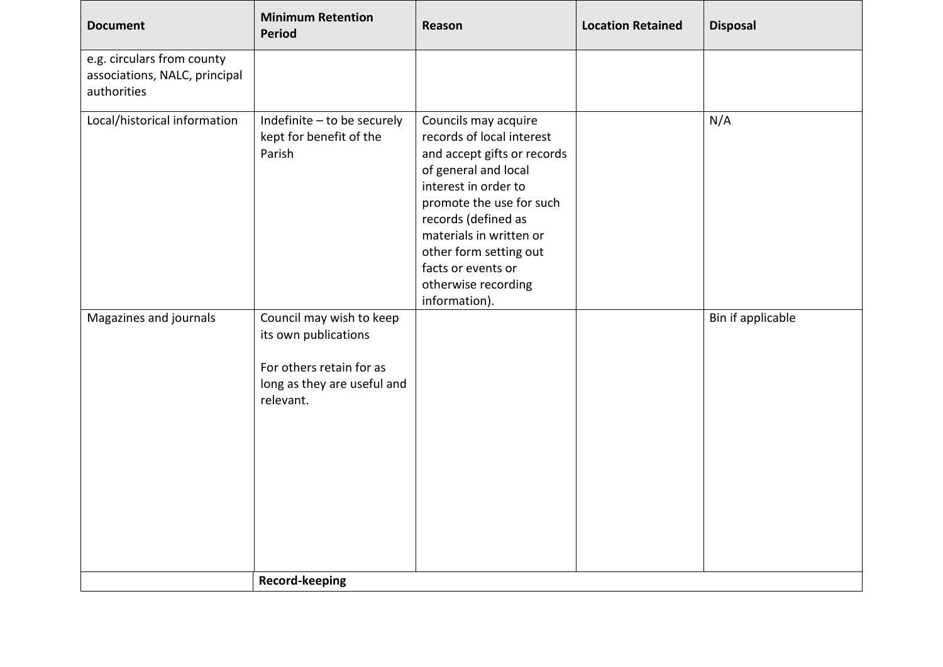| <b>Document</b>                                                            | <b>Minimum Retention</b><br>Period                                                                                       | Reason                                                                                                                                                                                                                                                                                                 | <b>Location Retained</b> | <b>Disposal</b>   |
|----------------------------------------------------------------------------|--------------------------------------------------------------------------------------------------------------------------|--------------------------------------------------------------------------------------------------------------------------------------------------------------------------------------------------------------------------------------------------------------------------------------------------------|--------------------------|-------------------|
| e.g. circulars from county<br>associations, NALC, principal<br>authorities |                                                                                                                          |                                                                                                                                                                                                                                                                                                        |                          |                   |
| Local/historical information                                               | Indefinite - to be securely<br>kept for benefit of the<br>Parish                                                         | Councils may acquire<br>records of local interest<br>and accept gifts or records<br>of general and local<br>interest in order to<br>promote the use for such<br>records (defined as<br>materials in written or<br>other form setting out<br>facts or events or<br>otherwise recording<br>information). |                          | N/A               |
| Magazines and journals                                                     | Council may wish to keep<br>its own publications<br>For others retain for as<br>long as they are useful and<br>relevant. |                                                                                                                                                                                                                                                                                                        |                          | Bin if applicable |
|                                                                            | <b>Record-keeping</b>                                                                                                    |                                                                                                                                                                                                                                                                                                        |                          |                   |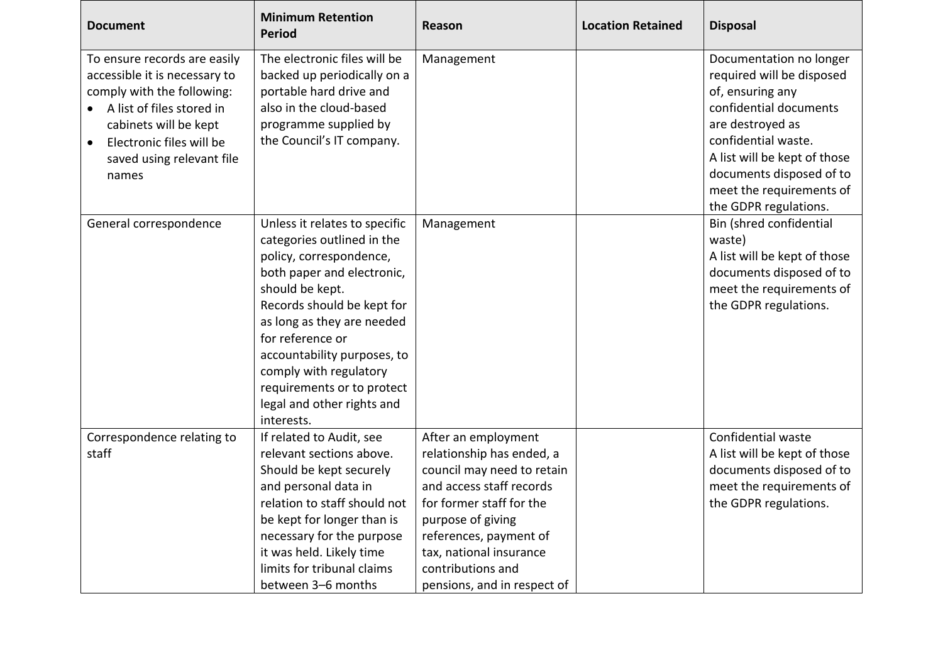| <b>Document</b>                                                                                                                                                                                                     | <b>Minimum Retention</b><br><b>Period</b>                                                                                                                                                                                                                                                                                                                  | <b>Reason</b>                                                                                                                                                                                                                                                        | <b>Location Retained</b> | <b>Disposal</b>                                                                                                                                                                                                                                                |
|---------------------------------------------------------------------------------------------------------------------------------------------------------------------------------------------------------------------|------------------------------------------------------------------------------------------------------------------------------------------------------------------------------------------------------------------------------------------------------------------------------------------------------------------------------------------------------------|----------------------------------------------------------------------------------------------------------------------------------------------------------------------------------------------------------------------------------------------------------------------|--------------------------|----------------------------------------------------------------------------------------------------------------------------------------------------------------------------------------------------------------------------------------------------------------|
| To ensure records are easily<br>accessible it is necessary to<br>comply with the following:<br>A list of files stored in<br>cabinets will be kept<br>Electronic files will be<br>saved using relevant file<br>names | The electronic files will be<br>backed up periodically on a<br>portable hard drive and<br>also in the cloud-based<br>programme supplied by<br>the Council's IT company.                                                                                                                                                                                    | Management                                                                                                                                                                                                                                                           |                          | Documentation no longer<br>required will be disposed<br>of, ensuring any<br>confidential documents<br>are destroyed as<br>confidential waste.<br>A list will be kept of those<br>documents disposed of to<br>meet the requirements of<br>the GDPR regulations. |
| General correspondence                                                                                                                                                                                              | Unless it relates to specific<br>categories outlined in the<br>policy, correspondence,<br>both paper and electronic,<br>should be kept.<br>Records should be kept for<br>as long as they are needed<br>for reference or<br>accountability purposes, to<br>comply with regulatory<br>requirements or to protect<br>legal and other rights and<br>interests. | Management                                                                                                                                                                                                                                                           |                          | Bin (shred confidential<br>waste)<br>A list will be kept of those<br>documents disposed of to<br>meet the requirements of<br>the GDPR regulations.                                                                                                             |
| Correspondence relating to<br>staff                                                                                                                                                                                 | If related to Audit, see<br>relevant sections above.<br>Should be kept securely<br>and personal data in<br>relation to staff should not<br>be kept for longer than is<br>necessary for the purpose<br>it was held. Likely time<br>limits for tribunal claims<br>between 3-6 months                                                                         | After an employment<br>relationship has ended, a<br>council may need to retain<br>and access staff records<br>for former staff for the<br>purpose of giving<br>references, payment of<br>tax, national insurance<br>contributions and<br>pensions, and in respect of |                          | Confidential waste<br>A list will be kept of those<br>documents disposed of to<br>meet the requirements of<br>the GDPR regulations.                                                                                                                            |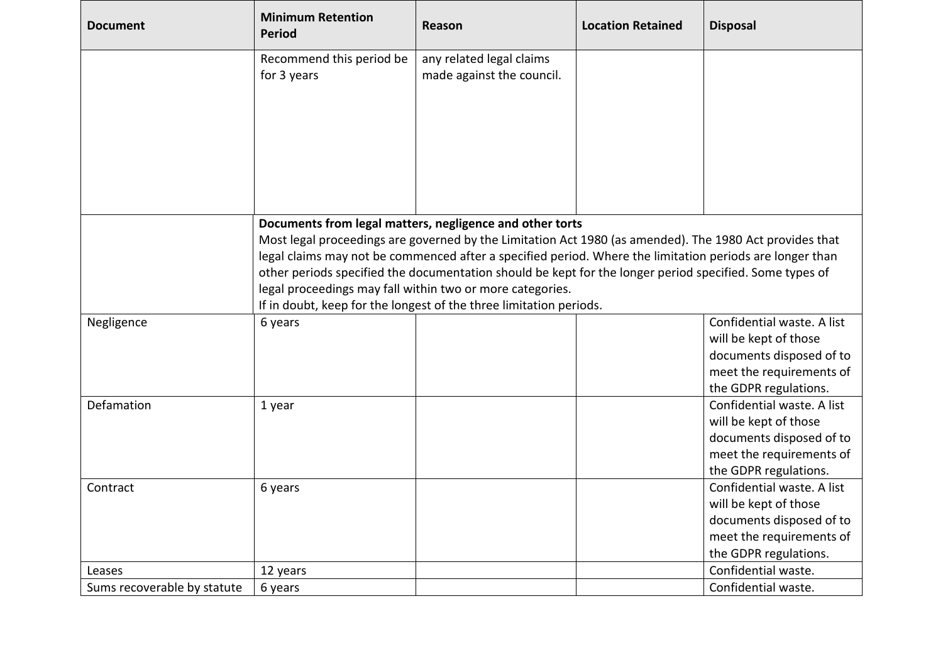| <b>Document</b>             | <b>Minimum Retention</b><br><b>Period</b>                                                                                                                                                                                                                                                                                                                                                                                                               | Reason                                                             | <b>Location Retained</b> | <b>Disposal</b>            |  |
|-----------------------------|---------------------------------------------------------------------------------------------------------------------------------------------------------------------------------------------------------------------------------------------------------------------------------------------------------------------------------------------------------------------------------------------------------------------------------------------------------|--------------------------------------------------------------------|--------------------------|----------------------------|--|
|                             | Recommend this period be<br>for 3 years                                                                                                                                                                                                                                                                                                                                                                                                                 | any related legal claims<br>made against the council.              |                          |                            |  |
|                             |                                                                                                                                                                                                                                                                                                                                                                                                                                                         |                                                                    |                          |                            |  |
|                             |                                                                                                                                                                                                                                                                                                                                                                                                                                                         |                                                                    |                          |                            |  |
|                             |                                                                                                                                                                                                                                                                                                                                                                                                                                                         |                                                                    |                          |                            |  |
|                             | Documents from legal matters, negligence and other torts<br>Most legal proceedings are governed by the Limitation Act 1980 (as amended). The 1980 Act provides that<br>legal claims may not be commenced after a specified period. Where the limitation periods are longer than<br>other periods specified the documentation should be kept for the longer period specified. Some types of<br>legal proceedings may fall within two or more categories. |                                                                    |                          |                            |  |
|                             |                                                                                                                                                                                                                                                                                                                                                                                                                                                         | If in doubt, keep for the longest of the three limitation periods. |                          |                            |  |
| Negligence                  | 6 years                                                                                                                                                                                                                                                                                                                                                                                                                                                 |                                                                    |                          | Confidential waste. A list |  |
|                             |                                                                                                                                                                                                                                                                                                                                                                                                                                                         |                                                                    |                          | will be kept of those      |  |
|                             |                                                                                                                                                                                                                                                                                                                                                                                                                                                         |                                                                    |                          | documents disposed of to   |  |
|                             |                                                                                                                                                                                                                                                                                                                                                                                                                                                         |                                                                    |                          | meet the requirements of   |  |
|                             |                                                                                                                                                                                                                                                                                                                                                                                                                                                         |                                                                    |                          | the GDPR regulations.      |  |
| Defamation                  | 1 year                                                                                                                                                                                                                                                                                                                                                                                                                                                  |                                                                    |                          | Confidential waste. A list |  |
|                             |                                                                                                                                                                                                                                                                                                                                                                                                                                                         |                                                                    |                          | will be kept of those      |  |
|                             |                                                                                                                                                                                                                                                                                                                                                                                                                                                         |                                                                    |                          | documents disposed of to   |  |
|                             |                                                                                                                                                                                                                                                                                                                                                                                                                                                         |                                                                    |                          | meet the requirements of   |  |
|                             |                                                                                                                                                                                                                                                                                                                                                                                                                                                         |                                                                    |                          | the GDPR regulations.      |  |
| Contract                    | 6 years                                                                                                                                                                                                                                                                                                                                                                                                                                                 |                                                                    |                          | Confidential waste. A list |  |
|                             |                                                                                                                                                                                                                                                                                                                                                                                                                                                         |                                                                    |                          | will be kept of those      |  |
|                             |                                                                                                                                                                                                                                                                                                                                                                                                                                                         |                                                                    |                          | documents disposed of to   |  |
|                             |                                                                                                                                                                                                                                                                                                                                                                                                                                                         |                                                                    |                          | meet the requirements of   |  |
|                             |                                                                                                                                                                                                                                                                                                                                                                                                                                                         |                                                                    |                          | the GDPR regulations.      |  |
| Leases                      | 12 years                                                                                                                                                                                                                                                                                                                                                                                                                                                |                                                                    |                          | Confidential waste.        |  |
| Sums recoverable by statute | 6 years                                                                                                                                                                                                                                                                                                                                                                                                                                                 |                                                                    |                          | Confidential waste.        |  |